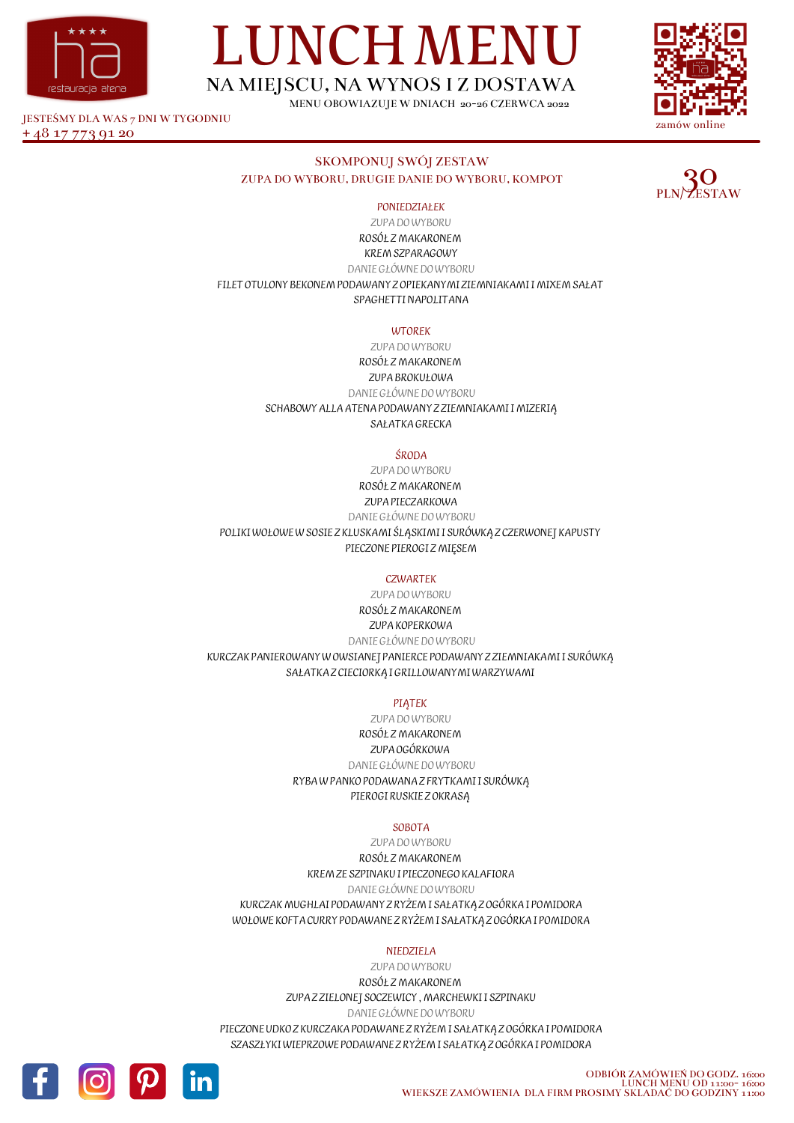PONIEDZIAŁEK

ZUPADO WYBORU

ROSÓŁ Z MAKARONEM KREM SZPARAGOWY

DANIE GŁÓWNEDO WYBORU

FILET OTULONY BEKONEM PODAWANY Z OPIEKANYMI ZIEMNIAKAMII MIXEM SAŁAT SPAGHETTINAPOLITANA

# WTOREK

ZUPADO WYBORU ROSÓŁ Z MAKARONEM ZUPABROKUŁOWA DANIE GŁÓWNEDO WYBORU SCHABOWYALLAATENAPODAWANY Z ZIEMNIAKAMII MIZERIĄ SAŁATKAGRECKA

# ŚRODA

ZUPADO WYBORU

ROSÓŁ Z MAKARONEM

ZUPAPIECZARKOWA DANIE GŁÓWNEDO WYBORU

POLIKI WOŁOWE W SOSIE Z KLUSKAMI ŚLĄSKIMII SURÓWKĄZ CZERWONEJ KAPUSTY PIECZONE PIEROGI Z MIĘSEM

# **CZWARTEK**

ZUPADO WYBORU

# ROSÓŁ Z MAKARONEM

## ZUPA KOPERKOWA

DANIE GŁÓWNEDO WYBORU

# KURCZAK PANIEROWANY W OWSIANEJ PANIERCE PODAWANY Z ZIEMNIAKAMII SURÓWKĄ SAŁATKAZ CIECIORKĄI GRILLOWANYMI WARZYWAMI

# PIĄTEK

ZUPADO WYBORU ROSÓŁ Z MAKARONEM ZUPAOGÓRKOWA DANIE GŁÓWNEDO WYBORU RYBA W PANKO PODAWANAZ FRYTKAMII SURÓWKĄ PIEROGI RUSKIE Z OKRASĄ

## SOBOTA

ZUPADO WYBORU ROSÓŁ Z MAKARONEM KREM ZE SZPINAKU I PIECZONEGO KALAFIORA DANIE GŁÓWNEDO WYBORU KURCZAK MUGHLAI PODAWANY Z RYŻEM I SAŁATKĄZ OGÓRKAI POMIDORA WOŁOWE KOFTACURRY PODAWANE Z RYŻEM I SAŁATKĄZ OGÓRKAI POMIDORA

# NIEDZIELA

ZUPADO WYBORU ROSÓŁ Z MAKARONEM ZUPAZ ZIELONEJ SOCZEWICY , MARCHEWKII SZPINAKU DANIE GŁÓWNEDO WYBORU PIECZONE UDKO Z KURCZAKAPODAWANE Z RYŻEM I SAŁATKĄZ OGÓRKAI POMIDORA SZASZŁYKI WIEPRZOWE PODAWANE Z RYŻEM I SAŁATKĄZ OGÓRKAI POMIDORA



MENU OBOWIĄZUJE W DNIACH 20-26 CZERWCA 2022





# LUNCH MENU NA MIEJSCU, NA WYNOS I Z DOSTAWĄ

JESTEŚMY DLA WAS 7 DNI W TYGODNIU + 48 17 773 91 20

# SKOMPONUJ SWÓJ ZESTAW ZUPA DO WYBORU, DRUGIE DANIE DO WYBORU, KOMPOT

ODBIÓR ZAMÓWIEŃ DO GODZ. 16:00 LUNCH MENU OD 11:00- 16:00 WIĘKSZE ZAMÓWIENIA DLA FIRM PROSIMY SKŁADAĆ DO GODZINY 11:00